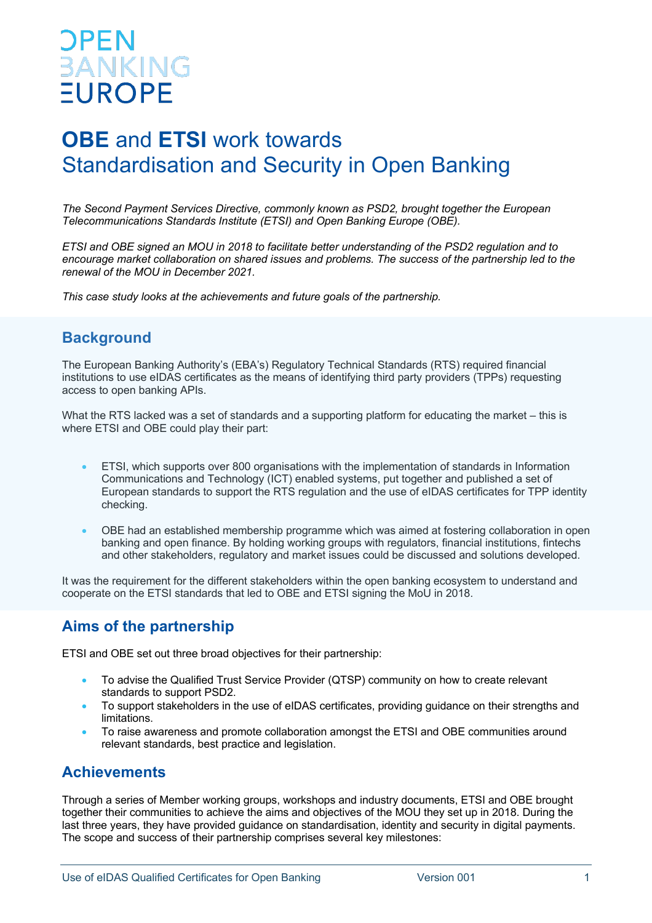# **PEN BANKING EUROPE**

## **OBE** and **ETSI** work towards Standardisation and Security in Open Banking

*The Second Payment Services Directive, commonly known as PSD2, brought together the European Telecommunications Standards Institute (ETSI) and Open Banking Europe (OBE).* 

*ETSI and OBE signed an MOU in 2018 to facilitate better understanding of the PSD2 regulation and to encourage market collaboration on shared issues and problems. The success of the partnership led to the renewal of the MOU in December 2021.*

*This case study looks at the achievements and future goals of the partnership.*

#### **Background**

The European Banking Authority's (EBA's) Regulatory Technical Standards (RTS) required financial institutions to use eIDAS certificates as the means of identifying third party providers (TPPs) requesting access to open banking APIs.

What the RTS lacked was a set of standards and a supporting platform for educating the market – this is where ETSI and OBE could play their part:

- ETSI, which supports over 800 organisations with the implementation of standards in Information Communications and Technology (ICT) enabled systems, put together and published a set of European standards to support the RTS regulation and the use of eIDAS certificates for TPP identity checking.
- OBE had an established membership programme which was aimed at fostering collaboration in open banking and open finance. By holding working groups with regulators, financial institutions, fintechs and other stakeholders, regulatory and market issues could be discussed and solutions developed.

It was the requirement for the different stakeholders within the open banking ecosystem to understand and cooperate on the ETSI standards that led to OBE and ETSI signing the MoU in 2018.

## **Aims of the partnership**

ETSI and OBE set out three broad objectives for their partnership:

- To advise the Qualified Trust Service Provider (QTSP) community on how to create relevant standards to support PSD2.
- To support stakeholders in the use of eIDAS certificates, providing guidance on their strengths and limitations.
- To raise awareness and promote collaboration amongst the ETSI and OBE communities around relevant standards, best practice and legislation.

#### **Achievements**

Through a series of Member working groups, workshops and industry documents, ETSI and OBE brought together their communities to achieve the aims and objectives of the MOU they set up in 2018. During the last three years, they have provided guidance on standardisation, identity and security in digital payments. The scope and success of their partnership comprises several key milestones: